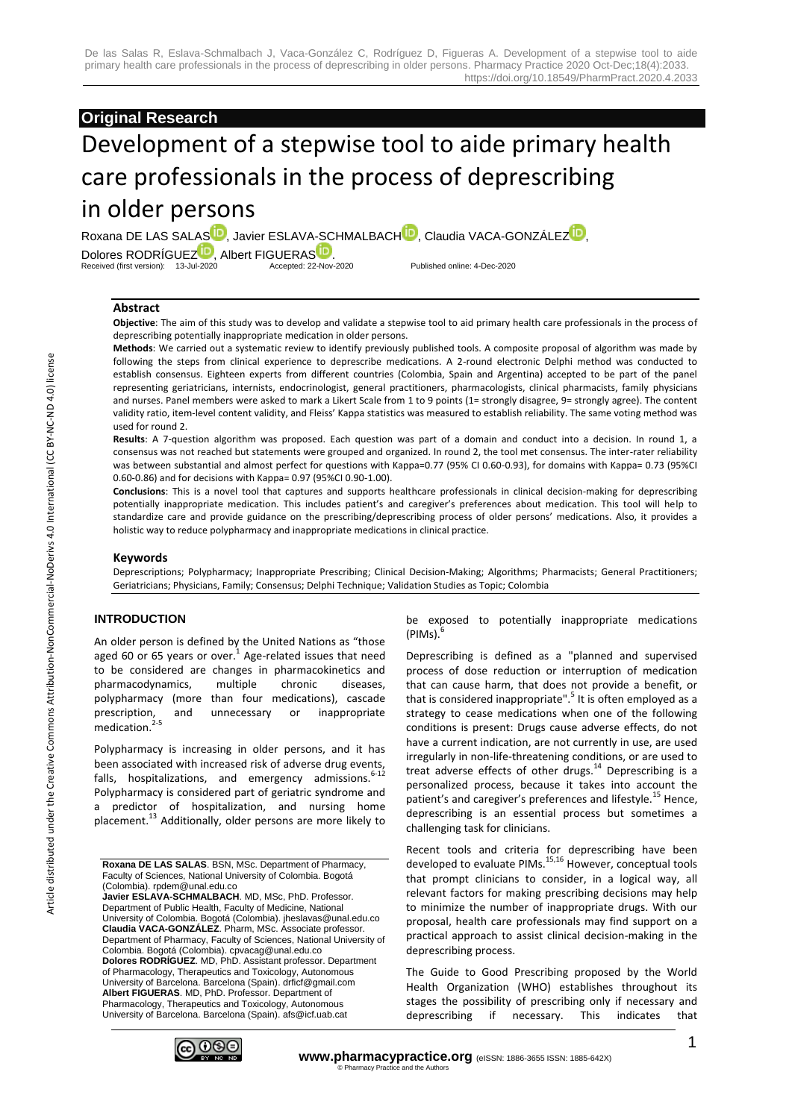# **Original Research**

# Development of a stepwise tool to aide primary health care professionals in the process of deprescribing in older persons

Roxana DE LA[S](https://orcid.org/0000-0002-1351-7514) SALAS<sup>ID</sup>, Javier ESLAVA-SC[H](https://orcid.org/0000-0003-1502-2918)MALBACH<sup>ID</sup>[,](https://orcid.org/0000-0001-5489-2671) Claudia VACA-GONZÁLEZ<sup>ID</sup>, Dolores RODRÍGUE[Z](https://orcid.org/0000-0001-5588-7153)<sup>ID</sup>, Albert FIGUERA[S](https://orcid.org/0000-0002-2740-2013)<sup>ID</sup>.<br>Received (first version): 13-Jul-2020 Accepted: 22-Nov-2020 Received (first version): 13-Jul-2020 Accepted: 22-Nov-2020 Published online: 4-Dec-2020

# **Abstract**

**Objective**: The aim of this study was to develop and validate a stepwise tool to aid primary health care professionals in the process of deprescribing potentially inappropriate medication in older persons.

**Methods**: We carried out a systematic review to identify previously published tools. A composite proposal of algorithm was made by following the steps from clinical experience to deprescribe medications. A 2-round electronic Delphi method was conducted to establish consensus. Eighteen experts from different countries (Colombia, Spain and Argentina) accepted to be part of the panel representing geriatricians, internists, endocrinologist, general practitioners, pharmacologists, clinical pharmacists, family physicians and nurses. Panel members were asked to mark a Likert Scale from 1 to 9 points (1= strongly disagree, 9= strongly agree). The content validity ratio, item-level content validity, and Fleiss' Kappa statistics was measured to establish reliability. The same voting method was used for round 2.

**Results**: A 7-question algorithm was proposed. Each question was part of a domain and conduct into a decision. In round 1, a consensus was not reached but statements were grouped and organized. In round 2, the tool met consensus. The inter-rater reliability was between substantial and almost perfect for questions with Kappa=0.77 (95% CI 0.60-0.93), for domains with Kappa= 0.73 (95%CI 0.60-0.86) and for decisions with Kappa= 0.97 (95%CI 0.90-1.00).

**Conclusions**: This is a novel tool that captures and supports healthcare professionals in clinical decision-making for deprescribing potentially inappropriate medication. This includes patient's and caregiver's preferences about medication. This tool will help to standardize care and provide guidance on the prescribing/deprescribing process of older persons' medications. Also, it provides a holistic way to reduce polypharmacy and inappropriate medications in clinical practice.

#### **Keywords**

Deprescriptions; Polypharmacy; Inappropriate Prescribing; Clinical Decision-Making; Algorithms; Pharmacists; General Practitioners; Geriatricians; Physicians, Family; Consensus; Delphi Technique; Validation Studies as Topic; Colombia

# **INTRODUCTION**

An older person is defined by the United Nations as "those aged 60 or 65 years or over. $^1$  Age-related issues that need to be considered are changes in pharmacokinetics and pharmacodynamics, multiple chronic diseases, polypharmacy (more than four medications), cascade prescription, and unnecessary or inappropriate medication. $2-5$ 

Polypharmacy is increasing in older persons, and it has been associated with increased risk of adverse drug events, falls, hospitalizations, and emergency admissions. $6-12$ Polypharmacy is considered part of geriatric syndrome and a predictor of hospitalization, and nursing home placement.<sup>13</sup> Additionally, older persons are more likely to

**Roxana DE LAS SALAS**. BSN, MSc. Department of Pharmacy, Faculty of Sciences, National University of Colombia. Bogotá (Colombia). rpdem@unal.edu.co **Javier ESLAVA-SCHMALBACH**. MD, MSc, PhD. Professor. Department of Public Health, Faculty of Medicine, National University of Colombia. Bogotá (Colombia). jheslavas@unal.edu.co **Claudia VACA-GONZÁLEZ**. Pharm, MSc. Associate professor. Department of Pharmacy, Faculty of Sciences, National University of Colombia. Bogotá (Colombia). cpvacag@unal.edu.co **Dolores RODRÍGUEZ**. MD, PhD. Assistant professor. Department of Pharmacology, Therapeutics and Toxicology, Autonomous University of Barcelona. Barcelona (Spain). drficf@gmail.com **Albert FIGUERAS**. MD, PhD. Professor. Department of Pharmacology, Therapeutics and Toxicology, Autonomous University of Barcelona. Barcelona (Spain). afs@icf.uab.cat

be exposed to potentially inappropriate medications  $(PIMs).$ 

Deprescribing is defined as a "planned and supervised process of dose reduction or interruption of medication that can cause harm, that does not provide a benefit, or that is considered inappropriate".<sup>5</sup> It is often employed as a strategy to cease medications when one of the following conditions is present: Drugs cause adverse effects, do not have a current indication, are not currently in use, are used irregularly in non-life-threatening conditions, or are used to treat adverse effects of other drugs.<sup>14</sup> Deprescribing is a personalized process, because it takes into account the patient's and caregiver's preferences and lifestyle.<sup>15</sup> Hence, deprescribing is an essential process but sometimes a challenging task for clinicians.

Recent tools and criteria for deprescribing have been developed to evaluate PIMs.<sup>15,16</sup> However, conceptual tools that prompt clinicians to consider, in a logical way, all relevant factors for making prescribing decisions may help to minimize the number of inappropriate drugs. With our proposal, health care professionals may find support on a practical approach to assist clinical decision-making in the deprescribing process.

The Guide to Good Prescribing proposed by the World Health Organization (WHO) establishes throughout its stages the possibility of prescribing only if necessary and deprescribing if necessary. This indicates that

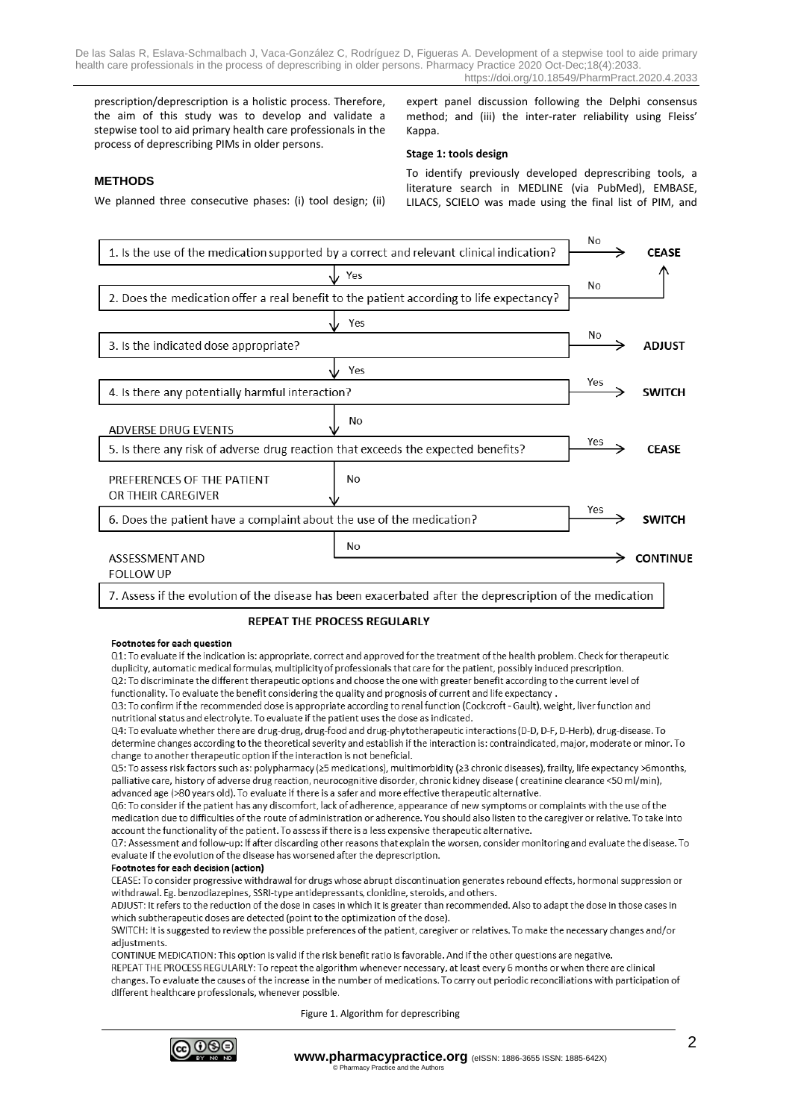De las Salas R, Eslava-Schmalbach J, Vaca-González C, Rodríguez D, Figueras A. Development of a stepwise tool to aide primary health care professionals in the process of deprescribing in older persons. Pharmacy Practice 2020 Oct-Dec;18(4):2033. https://doi.org/10.18549/PharmPract.2020.4.2033

prescription/deprescription is a holistic process. Therefore, the aim of this study was to develop and validate a stepwise tool to aid primary health care professionals in the process of deprescribing PIMs in older persons.

expert panel discussion following the Delphi consensus method; and (iii) the inter-rater reliability using Fleiss' Kappa.

## **Stage 1: tools design**

# **METHODS**

We planned three consecutive phases: (i) tool design; (ii)

To identify previously developed deprescribing tools, a literature search in MEDLINE (via PubMed), EMBASE, LILACS, SCIELO was made using the final list of PIM, and

|                                                                                          |                                                                                                           | No            |                 |
|------------------------------------------------------------------------------------------|-----------------------------------------------------------------------------------------------------------|---------------|-----------------|
|                                                                                          | 1. Is the use of the medication supported by a correct and relevant clinical indication?                  |               | <b>CEASE</b>    |
|                                                                                          | Yes                                                                                                       | No            |                 |
| 2. Does the medication offer a real benefit to the patient according to life expectancy? |                                                                                                           |               |                 |
|                                                                                          | Yes                                                                                                       |               |                 |
| 3. Is the indicated dose appropriate?                                                    |                                                                                                           | No            | <b>ADJUST</b>   |
|                                                                                          | Yes                                                                                                       |               |                 |
| 4. Is there any potentially harmful interaction?                                         |                                                                                                           | Yes           | <b>SWITCH</b>   |
| ADVERSE DRUG EVENTS                                                                      | No                                                                                                        |               |                 |
| 5. Is there any risk of adverse drug reaction that exceeds the expected benefits?        |                                                                                                           | Yes           | <b>CEASE</b>    |
| PREFERENCES OF THE PATIENT<br>OR THEIR CAREGIVER                                         | No                                                                                                        |               |                 |
| 6. Does the patient have a complaint about the use of the medication?                    | Yes                                                                                                       | <b>SWITCH</b> |                 |
|                                                                                          | No                                                                                                        |               |                 |
| <b>ASSESSMENT AND</b><br><b>FOLLOW UP</b>                                                |                                                                                                           |               | <b>CONTINUE</b> |
|                                                                                          | 7. Assess if the evolution of the disease has been exacerbated after the deprescription of the medication |               |                 |

#### **REPEAT THE PROCESS REGULARLY**

#### Footnotes for each question

Q1: To evaluate if the indication is: appropriate, correct and approved for the treatment of the health problem. Check for therapeutic duplicity, automatic medical formulas, multiplicity of professionals that care for the patient, possibly induced prescription. Q2: To discriminate the different therapeutic options and choose the one with greater benefit according to the current level of

functionality. To evaluate the benefit considering the quality and prognosis of current and life expectancy.

Q3: To confirm if the recommended dose is appropriate according to renal function (Cockcroft - Gault), weight, liver function and nutritional status and electrolyte. To evaluate if the patient uses the dose as indicated.

Q4: To evaluate whether there are drug-drug, drug-food and drug-phytotherapeutic interactions (D-D, D-F, D-Herb), drug-disease. To determine changes according to the theoretical severity and establish if the interaction is: contraindicated, major, moderate or minor. To change to another therapeutic option if the interaction is not beneficial.

Q5: To assess risk factors such as: polypharmacy (≥5 medications), multimorbidity (≥3 chronic diseases), frailty, life expectancy >6months, palliative care, history of adverse drug reaction, neurocognitive disorder, chronic kidney disease (creatinine clearance <50 ml/min). advanced age (>80 years old). To evaluate if there is a safer and more effective therapeutic alternative.

Q6: To consider if the patient has any discomfort, lack of adherence, appearance of new symptoms or complaints with the use of the medication due to difficulties of the route of administration or adherence. You should also listen to the caregiver or relative. To take into account the functionality of the patient. To assess if there is a less expensive therapeutic alternative.

Q7: Assessment and follow-up: If after discarding other reasons that explain the worsen, consider monitoring and evaluate the disease. To evaluate if the evolution of the disease has worsened after the deprescription.

#### Footnotes for each decision (action)

CEASE: To consider progressive withdrawal for drugs whose abrupt discontinuation generates rebound effects, hormonal suppression or withdrawal. Eg. benzodiazepines, SSRI-type antidepressants, clonidine, steroids, and others.

ADJUST: It refers to the reduction of the dose in cases in which it is greater than recommended. Also to adapt the dose in those cases in which subtherapeutic doses are detected (point to the optimization of the dose).

SWITCH: It is suggested to review the possible preferences of the patient, caregiver or relatives. To make the necessary changes and/or adiustments.

CONTINUE MEDICATION: This option is valid if the risk benefit ratio is favorable. And if the other questions are negative.

REPEAT THE PROCESS REGULARLY: To repeat the algorithm whenever necessary, at least every 6 months or when there are clinical changes. To evaluate the causes of the increase in the number of medications. To carry out periodic reconciliations with participation of different healthcare professionals, whenever possible.

Figure 1. Algorithm for deprescribing

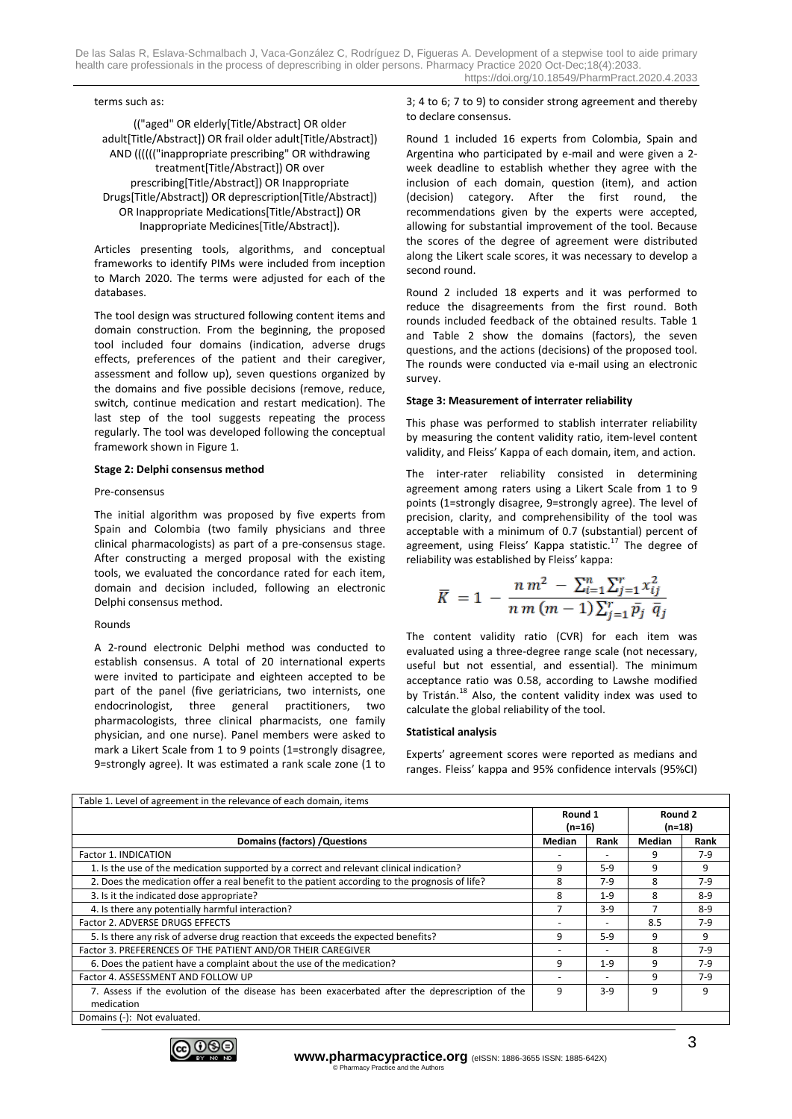terms such as:

(("aged" OR elderly[Title/Abstract] OR older adult[Title/Abstract]) OR frail older adult[Title/Abstract]) AND (((((("inappropriate prescribing" OR withdrawing treatment[Title/Abstract]) OR over prescribing[Title/Abstract]) OR Inappropriate Drugs[Title/Abstract]) OR deprescription[Title/Abstract]) OR Inappropriate Medications[Title/Abstract]) OR Inappropriate Medicines[Title/Abstract]).

Articles presenting tools, algorithms, and conceptual frameworks to identify PIMs were included from inception to March 2020. The terms were adjusted for each of the databases.

The tool design was structured following content items and domain construction. From the beginning, the proposed tool included four domains (indication, adverse drugs effects, preferences of the patient and their caregiver, assessment and follow up), seven questions organized by the domains and five possible decisions (remove, reduce, switch, continue medication and restart medication). The last step of the tool suggests repeating the process regularly. The tool was developed following the conceptual framework shown in Figure 1.

# **Stage 2: Delphi consensus method**

## Pre-consensus

The initial algorithm was proposed by five experts from Spain and Colombia (two family physicians and three clinical pharmacologists) as part of a pre-consensus stage. After constructing a merged proposal with the existing tools, we evaluated the concordance rated for each item, domain and decision included, following an electronic Delphi consensus method.

#### Rounds

A 2-round electronic Delphi method was conducted to establish consensus. A total of 20 international experts were invited to participate and eighteen accepted to be part of the panel (five geriatricians, two internists, one endocrinologist, three general practitioners, two pharmacologists, three clinical pharmacists, one family physician, and one nurse). Panel members were asked to mark a Likert Scale from 1 to 9 points (1=strongly disagree, 9=strongly agree). It was estimated a rank scale zone (1 to

3; 4 to 6; 7 to 9) to consider strong agreement and thereby to declare consensus.

Round 1 included 16 experts from Colombia, Spain and Argentina who participated by e-mail and were given a 2 week deadline to establish whether they agree with the inclusion of each domain, question (item), and action (decision) category. After the first round, the recommendations given by the experts were accepted, allowing for substantial improvement of the tool. Because the scores of the degree of agreement were distributed along the Likert scale scores, it was necessary to develop a second round.

Round 2 included 18 experts and it was performed to reduce the disagreements from the first round. Both rounds included feedback of the obtained results. Table 1 and Table 2 show the domains (factors), the seven questions, and the actions (decisions) of the proposed tool. The rounds were conducted via e-mail using an electronic survey.

# **Stage 3: Measurement of interrater reliability**

This phase was performed to stablish interrater reliability by measuring the content validity ratio, item-level content validity, and Fleiss' Kappa of each domain, item, and action.

The inter-rater reliability consisted in determining agreement among raters using a Likert Scale from 1 to 9 points (1=strongly disagree, 9=strongly agree). The level of precision, clarity, and comprehensibility of the tool was acceptable with a minimum of 0.7 (substantial) percent of agreement, using Fleiss' Kappa statistic.<sup>17</sup> The degree of reliability was established by Fleiss' kappa:

$$
\overline{K} = 1 - \frac{n m^2 - \sum_{i=1}^n \sum_{j=1}^r x_{ij}^2}{n m (m-1) \sum_{j=1}^r \overline{p}_j \overline{q}_j}
$$

The content validity ratio (CVR) for each item was evaluated using a three-degree range scale (not necessary, useful but not essential, and essential). The minimum acceptance ratio was 0.58, according to Lawshe modified by Tristán.<sup>18</sup> Also, the content validity index was used to calculate the global reliability of the tool.

#### **Statistical analysis**

Experts' agreement scores were reported as medians and ranges. Fleiss' kappa and 95% confidence intervals (95%CI)

|                                                                                                              | Round 1<br>$(n=16)$ |                          | Round 2<br>$(n=18)$ |         |
|--------------------------------------------------------------------------------------------------------------|---------------------|--------------------------|---------------------|---------|
| Domains (factors) / Questions                                                                                | Median              | Rank                     | Median              | Rank    |
| Factor 1. INDICATION                                                                                         |                     |                          | 9                   | $7-9$   |
| 1. Is the use of the medication supported by a correct and relevant clinical indication?                     | 9                   | $5-9$                    | 9                   | 9       |
| 2. Does the medication offer a real benefit to the patient according to the prognosis of life?               | 8                   | $7-9$                    | 8                   | $7-9$   |
| 3. Is it the indicated dose appropriate?                                                                     | 8                   | $1 - 9$                  | 8                   | $8-9$   |
| 4. Is there any potentially harmful interaction?                                                             |                     | $3-9$                    |                     | $8 - 9$ |
| Factor 2. ADVERSE DRUGS EFFECTS                                                                              |                     | $\overline{\phantom{a}}$ | 8.5                 | $7-9$   |
| 5. Is there any risk of adverse drug reaction that exceeds the expected benefits?                            | 9                   | $5-9$                    | 9                   | 9       |
| Factor 3. PREFERENCES OF THE PATIENT AND/OR THEIR CAREGIVER                                                  |                     |                          | 8                   | $7-9$   |
| 6. Does the patient have a complaint about the use of the medication?                                        | 9                   | $1 - 9$                  | 9                   | $7-9$   |
| Factor 4. ASSESSMENT AND FOLLOW UP                                                                           |                     |                          | q                   | $7-9$   |
| 7. Assess if the evolution of the disease has been exacerbated after the deprescription of the<br>medication | 9                   | $3-9$                    | 9                   | q       |

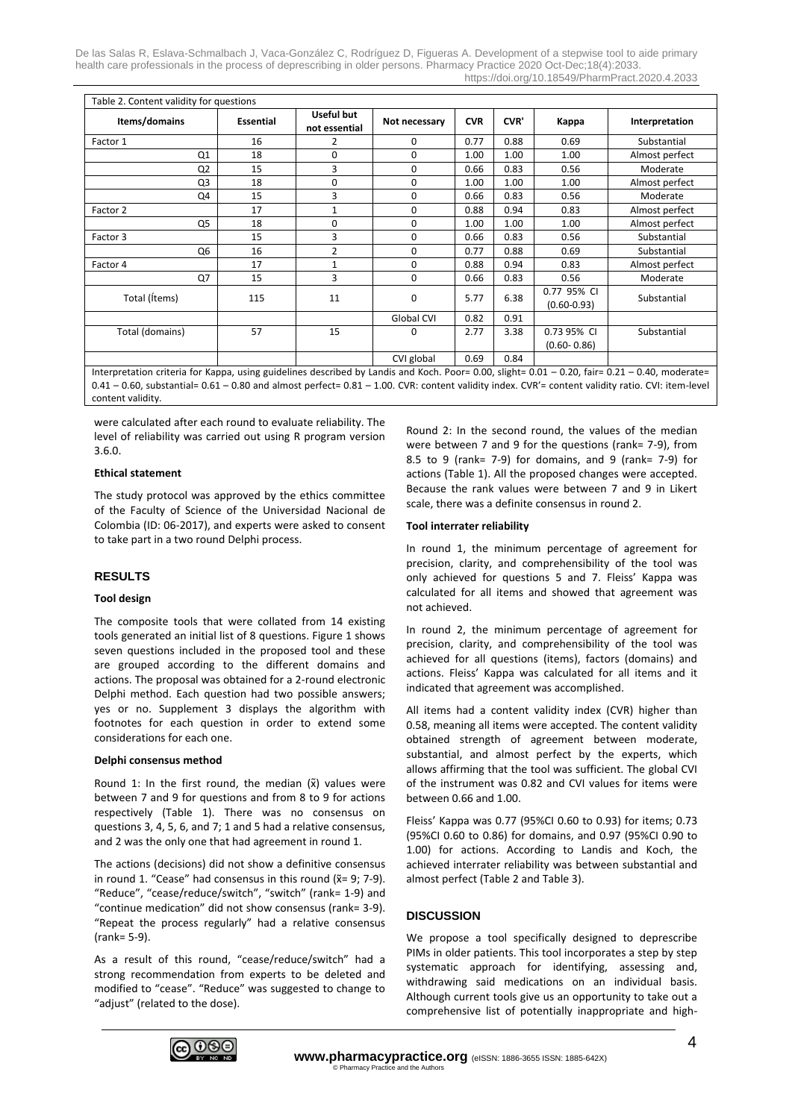De las Salas R, Eslava-Schmalbach J, Vaca-González C, Rodríguez D, Figueras A. Development of a stepwise tool to aide primary health care professionals in the process of deprescribing in older persons. Pharmacy Practice 2020 Oct-Dec;18(4):2033. https://doi.org/10.18549/PharmPract.2020.4.2033

| Items/domains   | <b>Essential</b> | Useful but<br>not essential | Not necessary | <b>CVR</b> | CVR' | Kappa                          | Interpretation |
|-----------------|------------------|-----------------------------|---------------|------------|------|--------------------------------|----------------|
| Factor 1        | 16               | 2                           | 0             | 0.77       | 0.88 | 0.69                           | Substantial    |
| Q1              | 18               | 0                           | $\Omega$      | 1.00       | 1.00 | 1.00                           | Almost perfect |
| Q <sub>2</sub>  | 15               | 3                           | 0             | 0.66       | 0.83 | 0.56                           | Moderate       |
| Q3              | 18               | 0                           | 0             | 1.00       | 1.00 | 1.00                           | Almost perfect |
| Q4              | 15               | 3                           | $\Omega$      | 0.66       | 0.83 | 0.56                           | Moderate       |
| Factor 2        | 17               | $\mathbf{1}$                | 0             | 0.88       | 0.94 | 0.83                           | Almost perfect |
| Q5              | 18               | 0                           | $\Omega$      | 1.00       | 1.00 | 1.00                           | Almost perfect |
| Factor 3        | 15               | 3                           | $\Omega$      | 0.66       | 0.83 | 0.56                           | Substantial    |
| Q <sub>6</sub>  | 16               | $\overline{2}$              | 0             | 0.77       | 0.88 | 0.69                           | Substantial    |
| Factor 4        | 17               |                             | 0             | 0.88       | 0.94 | 0.83                           | Almost perfect |
| Q <sub>7</sub>  | 15               | 3                           | 0             | 0.66       | 0.83 | 0.56                           | Moderate       |
| Total (Ítems)   | 115              | 11                          | 0             | 5.77       | 6.38 | 0.77 95% CI<br>$(0.60 - 0.93)$ | Substantial    |
|                 |                  |                             | Global CVI    | 0.82       | 0.91 |                                |                |
| Total (domains) | 57               | 15                          | 0             | 2.77       | 3.38 | 0.73 95% CI<br>$(0.60 - 0.86)$ | Substantial    |
|                 |                  |                             | CVI global    | 0.69       | 0.84 |                                |                |

Interpretation criteria for Kappa, using guidelines described by Landis and Koch. Poor= 0.00, slight= 0.01 – 0.20, fair= 0.21 – 0.40, moderate= 0.41 – 0.60, substantial= 0.61 – 0.80 and almost perfect= 0.81 – 1.00. CVR: content validity index. CVR'= content validity ratio. CVI: item-level content validity.

were calculated after each round to evaluate reliability. The level of reliability was carried out using R program version 3.6.0.

## **Ethical statement**

The study protocol was approved by the ethics committee of the Faculty of Science of the Universidad Nacional de Colombia (ID: 06-2017), and experts were asked to consent to take part in a two round Delphi process.

## **RESULTS**

#### **Tool design**

The composite tools that were collated from 14 existing tools generated an initial list of 8 questions. Figure 1 shows seven questions included in the proposed tool and these are grouped according to the different domains and actions. The proposal was obtained for a 2-round electronic Delphi method. Each question had two possible answers; yes or no. Supplement 3 displays the algorithm with footnotes for each question in order to extend some considerations for each one.

#### **Delphi consensus method**

Round 1: In the first round, the median  $(\tilde{x})$  values were between 7 and 9 for questions and from 8 to 9 for actions respectively (Table 1). There was no consensus on questions 3, 4, 5, 6, and 7; 1 and 5 had a relative consensus, and 2 was the only one that had agreement in round 1.

The actions (decisions) did not show a definitive consensus in round 1. "Cease" had consensus in this round  $(x=9; 7-9)$ . "Reduce", "cease/reduce/switch", "switch" (rank= 1-9) and "continue medication" did not show consensus (rank= 3-9). "Repeat the process regularly" had a relative consensus (rank= 5-9).

As a result of this round, "cease/reduce/switch" had a strong recommendation from experts to be deleted and modified to "cease". "Reduce" was suggested to change to "adjust" (related to the dose).

Round 2: In the second round, the values of the median were between 7 and 9 for the questions (rank= 7-9), from 8.5 to 9 (rank= 7-9) for domains, and 9 (rank= 7-9) for actions (Table 1). All the proposed changes were accepted. Because the rank values were between 7 and 9 in Likert scale, there was a definite consensus in round 2.

#### **Tool interrater reliability**

In round 1, the minimum percentage of agreement for precision, clarity, and comprehensibility of the tool was only achieved for questions 5 and 7. Fleiss' Kappa was calculated for all items and showed that agreement was not achieved.

In round 2, the minimum percentage of agreement for precision, clarity, and comprehensibility of the tool was achieved for all questions (items), factors (domains) and actions. Fleiss' Kappa was calculated for all items and it indicated that agreement was accomplished.

All items had a content validity index (CVR) higher than 0.58, meaning all items were accepted. The content validity obtained strength of agreement between moderate, substantial, and almost perfect by the experts, which allows affirming that the tool was sufficient. The global CVI of the instrument was 0.82 and CVI values for items were between 0.66 and 1.00.

Fleiss' Kappa was 0.77 (95%CI 0.60 to 0.93) for items; 0.73 (95%CI 0.60 to 0.86) for domains, and 0.97 (95%CI 0.90 to 1.00) for actions. According to Landis and Koch, the achieved interrater reliability was between substantial and almost perfect (Table 2 and Table 3).

# **DISCUSSION**

We propose a tool specifically designed to deprescribe PIMs in older patients. This tool incorporates a step by step systematic approach for identifying, assessing and, withdrawing said medications on an individual basis. Although current tools give us an opportunity to take out a comprehensive list of potentially inappropriate and high-

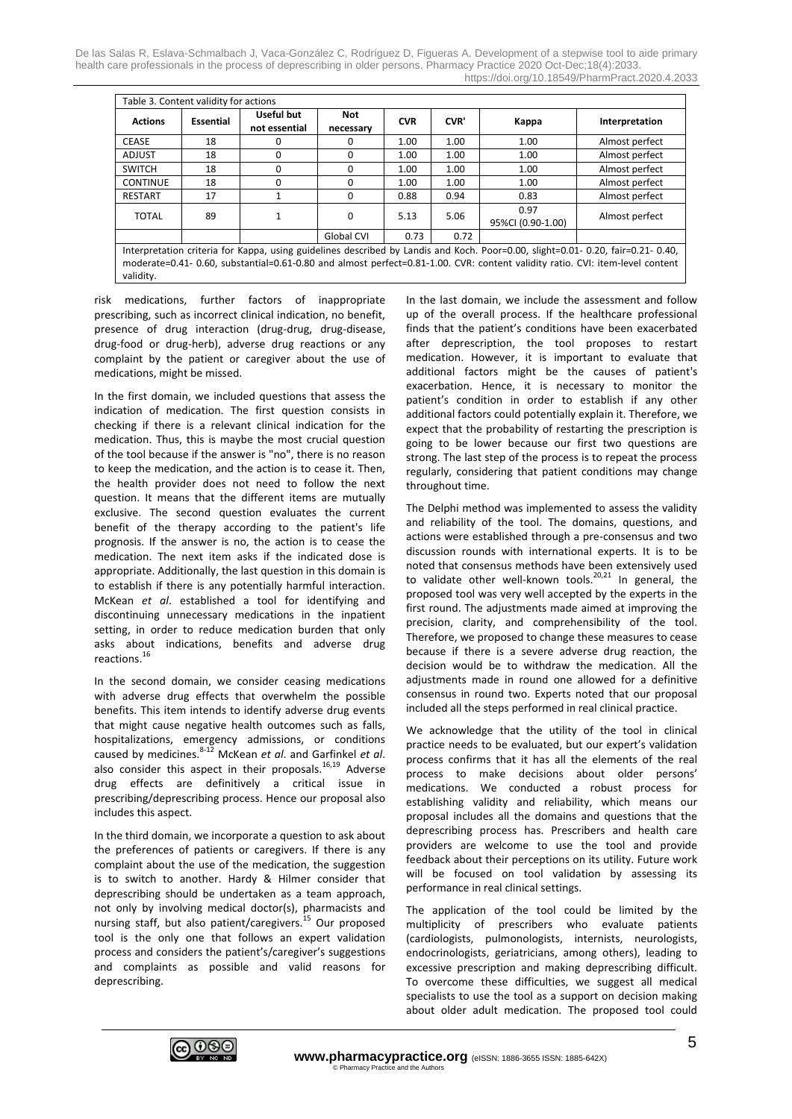De las Salas R, Eslava-Schmalbach J, Vaca-González C, Rodríguez D, Figueras A. Development of a stepwise tool to aide primary health care professionals in the process of deprescribing in older persons. Pharmacy Practice 2020 Oct-Dec;18(4):2033. https://doi.org/10.18549/PharmPract.2020.4.2033

| Table 3. Content validity for actions                                                                                                                                                                                                                                       |           |                             |                  |            |      |                           |                |  |
|-----------------------------------------------------------------------------------------------------------------------------------------------------------------------------------------------------------------------------------------------------------------------------|-----------|-----------------------------|------------------|------------|------|---------------------------|----------------|--|
| <b>Actions</b>                                                                                                                                                                                                                                                              | Essential | Useful but<br>not essential | Not<br>necessary | <b>CVR</b> | CVR' | Kappa                     | Interpretation |  |
| <b>CEASE</b>                                                                                                                                                                                                                                                                | 18        | 0                           | O                | 1.00       | 1.00 | 1.00                      | Almost perfect |  |
| <b>ADJUST</b>                                                                                                                                                                                                                                                               | 18        | 0                           | <sup>0</sup>     | 1.00       | 1.00 | 1.00                      | Almost perfect |  |
| <b>SWITCH</b>                                                                                                                                                                                                                                                               | 18        | <sup>0</sup>                | <sup>0</sup>     | 1.00       | 1.00 | 1.00                      | Almost perfect |  |
| <b>CONTINUE</b>                                                                                                                                                                                                                                                             | 18        | 0                           | $\Omega$         | 1.00       | 1.00 | 1.00                      | Almost perfect |  |
| <b>RESTART</b>                                                                                                                                                                                                                                                              | 17        |                             | O                | 0.88       | 0.94 | 0.83                      | Almost perfect |  |
| <b>TOTAL</b>                                                                                                                                                                                                                                                                | 89        |                             | $\Omega$         | 5.13       | 5.06 | 0.97<br>95%CI (0.90-1.00) | Almost perfect |  |
|                                                                                                                                                                                                                                                                             |           |                             | Global CVI       | 0.73       | 0.72 |                           |                |  |
| Interpretation criteria for Kappa, using guidelines described by Landis and Koch. Poor=0.00, slight=0.01-0.20, fair=0.21-0.40,<br>moderate=0.41-0.60, substantial=0.61-0.80 and almost perfect=0.81-1.00. CVR: content validity ratio. CVI: item-level content<br>validity. |           |                             |                  |            |      |                           |                |  |

risk medications, further factors of inappropriate prescribing, such as incorrect clinical indication, no benefit, presence of drug interaction (drug-drug, drug-disease, drug-food or drug-herb), adverse drug reactions or any complaint by the patient or caregiver about the use of medications, might be missed.

In the first domain, we included questions that assess the indication of medication. The first question consists in checking if there is a relevant clinical indication for the medication. Thus, this is maybe the most crucial question of the tool because if the answer is "no", there is no reason to keep the medication, and the action is to cease it. Then, the health provider does not need to follow the next question. It means that the different items are mutually exclusive. The second question evaluates the current benefit of the therapy according to the patient's life prognosis. If the answer is no, the action is to cease the medication. The next item asks if the indicated dose is appropriate. Additionally, the last question in this domain is to establish if there is any potentially harmful interaction. McKean *et al*. established a tool for identifying and discontinuing unnecessary medications in the inpatient setting, in order to reduce medication burden that only asks about indications, benefits and adverse drug reactions. $^{16}$ 

In the second domain, we consider ceasing medications with adverse drug effects that overwhelm the possible benefits. This item intends to identify adverse drug events that might cause negative health outcomes such as falls, hospitalizations, emergency admissions, or conditions caused by medicines.8-12 McKean *et al*. and Garfinkel *et al*. also consider this aspect in their proposals. $16,19$  Adverse drug effects are definitively a critical issue in prescribing/deprescribing process. Hence our proposal also includes this aspect.

In the third domain, we incorporate a question to ask about the preferences of patients or caregivers. If there is any complaint about the use of the medication, the suggestion is to switch to another. Hardy & Hilmer consider that deprescribing should be undertaken as a team approach, not only by involving medical doctor(s), pharmacists and nursing staff, but also patient/caregivers.<sup>15</sup> Our proposed tool is the only one that follows an expert validation process and considers the patient's/caregiver's suggestions and complaints as possible and valid reasons for deprescribing.

In the last domain, we include the assessment and follow up of the overall process. If the healthcare professional finds that the patient's conditions have been exacerbated after deprescription, the tool proposes to restart medication. However, it is important to evaluate that additional factors might be the causes of patient's exacerbation. Hence, it is necessary to monitor the patient's condition in order to establish if any other additional factors could potentially explain it. Therefore, we expect that the probability of restarting the prescription is going to be lower because our first two questions are strong. The last step of the process is to repeat the process regularly, considering that patient conditions may change throughout time.

The Delphi method was implemented to assess the validity and reliability of the tool. The domains, questions, and actions were established through a pre-consensus and two discussion rounds with international experts. It is to be noted that consensus methods have been extensively used to validate other well-known tools.<sup>20,21</sup> In general, the proposed tool was very well accepted by the experts in the first round. The adjustments made aimed at improving the precision, clarity, and comprehensibility of the tool. Therefore, we proposed to change these measures to cease because if there is a severe adverse drug reaction, the decision would be to withdraw the medication. All the adjustments made in round one allowed for a definitive consensus in round two. Experts noted that our proposal included all the steps performed in real clinical practice.

We acknowledge that the utility of the tool in clinical practice needs to be evaluated, but our expert's validation process confirms that it has all the elements of the real process to make decisions about older persons' medications. We conducted a robust process for establishing validity and reliability, which means our proposal includes all the domains and questions that the deprescribing process has. Prescribers and health care providers are welcome to use the tool and provide feedback about their perceptions on its utility. Future work will be focused on tool validation by assessing its performance in real clinical settings.

The application of the tool could be limited by the multiplicity of prescribers who evaluate patients (cardiologists, pulmonologists, internists, neurologists, endocrinologists, geriatricians, among others), leading to excessive prescription and making deprescribing difficult. To overcome these difficulties, we suggest all medical specialists to use the tool as a support on decision making about older adult medication. The proposed tool could

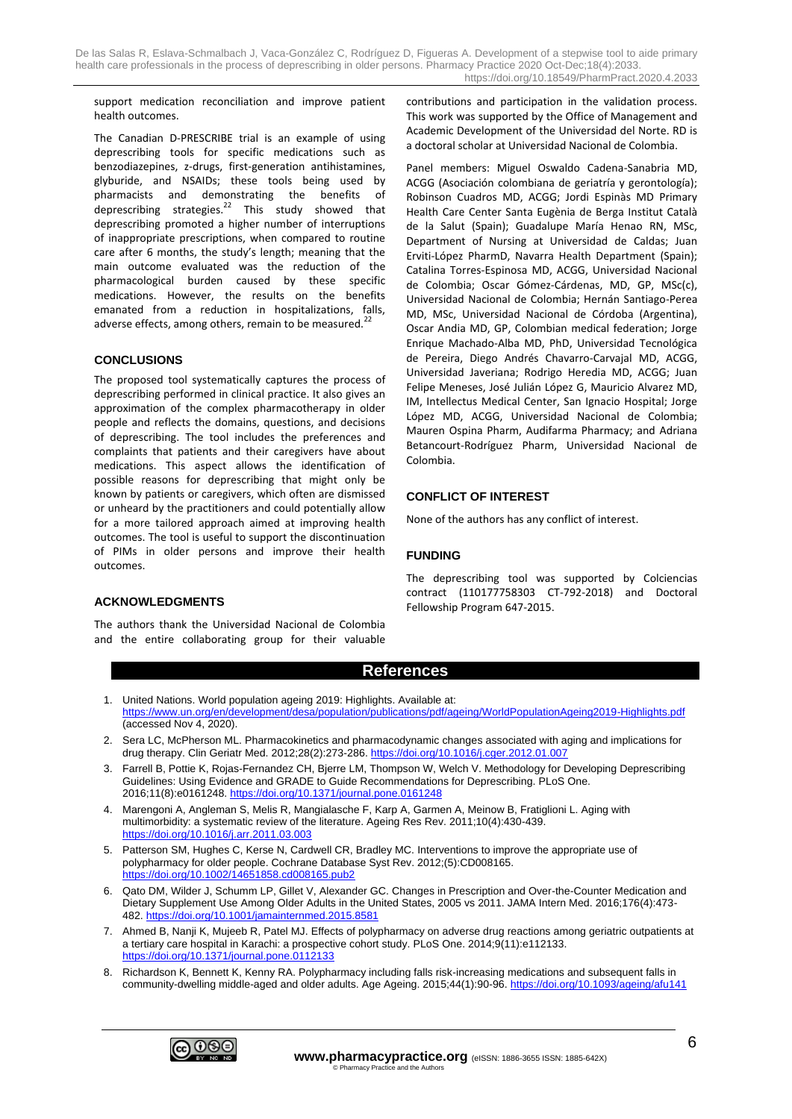support medication reconciliation and improve patient health outcomes.

The Canadian D-PRESCRIBE trial is an example of using deprescribing tools for specific medications such as benzodiazepines, z-drugs, first-generation antihistamines, glyburide, and NSAIDs; these tools being used by pharmacists and demonstrating the benefits of deprescribing strategies.<sup>22</sup> This study showed that deprescribing promoted a higher number of interruptions of inappropriate prescriptions, when compared to routine care after 6 months, the study's length; meaning that the main outcome evaluated was the reduction of the pharmacological burden caused by these specific medications. However, the results on the benefits emanated from a reduction in hospitalizations, falls, adverse effects, among others, remain to be measured. $^{22}$ 

# **CONCLUSIONS**

The proposed tool systematically captures the process of deprescribing performed in clinical practice. It also gives an approximation of the complex pharmacotherapy in older people and reflects the domains, questions, and decisions of deprescribing. The tool includes the preferences and complaints that patients and their caregivers have about medications. This aspect allows the identification of possible reasons for deprescribing that might only be known by patients or caregivers, which often are dismissed or unheard by the practitioners and could potentially allow for a more tailored approach aimed at improving health outcomes. The tool is useful to support the discontinuation of PIMs in older persons and improve their health outcomes.

# **ACKNOWLEDGMENTS**

The authors thank the Universidad Nacional de Colombia and the entire collaborating group for their valuable contributions and participation in the validation process. This work was supported by the Office of Management and Academic Development of the Universidad del Norte. RD is a doctoral scholar at Universidad Nacional de Colombia.

Panel members: Miguel Oswaldo Cadena-Sanabria MD, ACGG (Asociación colombiana de geriatría y gerontología); Robinson Cuadros MD, ACGG; Jordi Espinàs MD Primary Health Care Center Santa Eugènia de Berga Institut Català de la Salut (Spain); Guadalupe María Henao RN, MSc, Department of Nursing at Universidad de Caldas; Juan Erviti-López PharmD, Navarra Health Department (Spain); Catalina Torres-Espinosa MD, ACGG, Universidad Nacional de Colombia; Oscar Gómez-Cárdenas, MD, GP, MSc(c), Universidad Nacional de Colombia; Hernán Santiago-Perea MD, MSc, Universidad Nacional de Córdoba (Argentina), Oscar Andia MD, GP, Colombian medical federation; Jorge Enrique Machado-Alba MD, PhD, Universidad Tecnológica de Pereira, Diego Andrés Chavarro-Carvajal MD, ACGG, Universidad Javeriana; Rodrigo Heredia MD, ACGG; Juan Felipe Meneses, José Julián López G, Mauricio Alvarez MD, IM, Intellectus Medical Center, San Ignacio Hospital; Jorge López MD, ACGG, Universidad Nacional de Colombia; Mauren Ospina Pharm, Audifarma Pharmacy; and Adriana Betancourt-Rodríguez Pharm, Universidad Nacional de Colombia.

# **CONFLICT OF INTEREST**

None of the authors has any conflict of interest.

# **FUNDING**

The deprescribing tool was supported by Colciencias contract (110177758303 CT-792-2018) and Doctoral Fellowship Program 647-2015.

# **References**

- 1. United Nations. World population ageing 2019: Highlights. Available at: <https://www.un.org/en/development/desa/population/publications/pdf/ageing/WorldPopulationAgeing2019-Highlights.pdf> (accessed Nov 4, 2020).
- 2. Sera LC, McPherson ML. Pharmacokinetics and pharmacodynamic changes associated with aging and implications for drug therapy. Clin Geriatr Med. 2012;28(2):273-286.<https://doi.org/10.1016/j.cger.2012.01.007>
- 3. Farrell B, Pottie K, Rojas-Fernandez CH, Bjerre LM, Thompson W, Welch V. Methodology for Developing Deprescribing Guidelines: Using Evidence and GRADE to Guide Recommendations for Deprescribing. PLoS One. 2016;11(8):e0161248.<https://doi.org/10.1371/journal.pone.0161248>
- 4. Marengoni A, Angleman S, Melis R, Mangialasche F, Karp A, Garmen A, Meinow B, Fratiglioni L. Aging with multimorbidity: a systematic review of the literature. Ageing Res Rev. 2011;10(4):430-439. <https://doi.org/10.1016/j.arr.2011.03.003>
- 5. Patterson SM, Hughes C, Kerse N, Cardwell CR, Bradley MC. Interventions to improve the appropriate use of polypharmacy for older people. Cochrane Database Syst Rev. 2012;(5):CD008165. <https://doi.org/10.1002/14651858.cd008165.pub2>
- 6. Qato DM, Wilder J, Schumm LP, Gillet V, Alexander GC. Changes in Prescription and Over-the-Counter Medication and Dietary Supplement Use Among Older Adults in the United States, 2005 vs 2011. JAMA Intern Med. 2016;176(4):473- 482.<https://doi.org/10.1001/jamainternmed.2015.8581>
- 7. Ahmed B, Nanji K, Mujeeb R, Patel MJ. Effects of polypharmacy on adverse drug reactions among geriatric outpatients at a tertiary care hospital in Karachi: a prospective cohort study. PLoS One. 2014;9(11):e112133. <https://doi.org/10.1371/journal.pone.0112133>
- 8. Richardson K, Bennett K, Kenny RA. Polypharmacy including falls risk-increasing medications and subsequent falls in community-dwelling middle-aged and older adults. Age Ageing. 2015;44(1):90-96.<https://doi.org/10.1093/ageing/afu141>